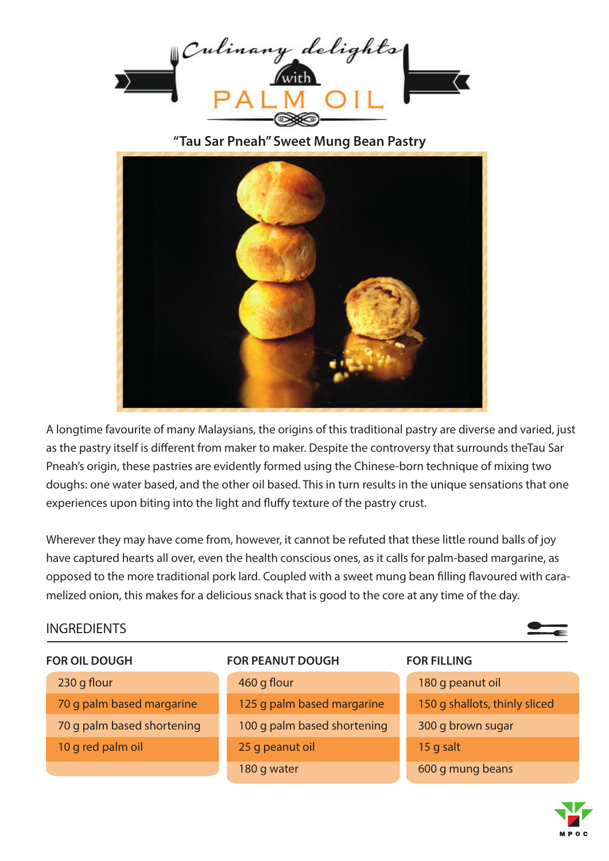

**"Tau Sar Pneah" Sweet Mung Bean Pastry**



A longtime favourite of many Malaysians, the origins of this traditional pastry are diverse and varied, just as the pastry itself is different from maker to maker. Despite the controversy that surrounds theTau Sar Pneah's origin, these pastries are evidently formed using the Chinese-born technique of mixing two doughs: one water based, and the other oil based. This in turn results in the unique sensations that one experiences upon biting into the light and fluffy texture of the pastry crust.

Wherever they may have come from, however, it cannot be refuted that these little round balls of joy have captured hearts all over, even the health conscious ones, as it calls for palm-based margarine, as opposed to the more traditional pork lard. Coupled with a sweet mung bean filling flavoured with caramelized onion, this makes for a delicious snack that is good to the core at any time of the day.

# **INGREDIENTS**



## **FOR OIL DOUGH**

10 g red palm oil

70 g palm based margarine

70 g palm based shortening

 $230$  g flour

## **FOR PEANUT DOUGH**

460 g flour 125 g palm based margarine 100 g palm based shortening 25 g peanut oil 180 g water

## **FOR FILLING**

180 g peanut oil 150 g shallots, thinly sliced 300 g brown sugar 15 g salt 600 g mung beans